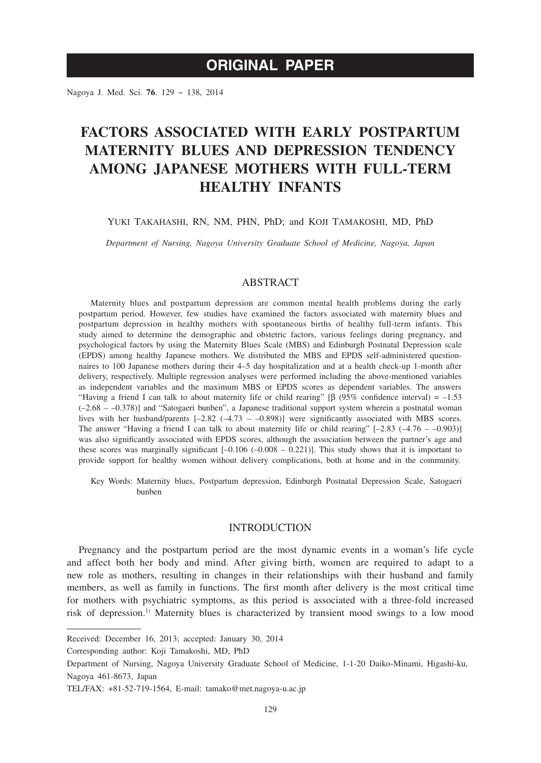## **ORIGINAL PAPER**

Nagoya J. Med. Sci. **76**. 129 ~ 138, 2014

# **FACTORS ASSOCIATED WITH EARLY POSTPARTUM MATERNITY BLUES AND DEPRESSION TENDENCY AMONG JAPANESE MOTHERS WITH FULL-TERM HEALTHY INFANTS**

#### YUKI TAKAHASHI, RN, NM, PHN, PhD; and KOJI TAMAKOSHI, MD, PhD

*Department of Nursing, Nagoya University Graduate School of Medicine, Nagoya, Japan*

## **ABSTRACT**

Maternity blues and postpartum depression are common mental health problems during the early postpartum period. However, few studies have examined the factors associated with maternity blues and postpartum depression in healthy mothers with spontaneous births of healthy full-term infants. This study aimed to determine the demographic and obstetric factors, various feelings during pregnancy, and psychological factors by using the Maternity Blues Scale (MBS) and Edinburgh Postnatal Depression scale (EPDS) among healthy Japanese mothers. We distributed the MBS and EPDS self-administered questionnaires to 100 Japanese mothers during their 4–5 day hospitalization and at a health check-up 1-month after delivery, respectively. Multiple regression analyses were performed including the above-mentioned variables as independent variables and the maximum MBS or EPDS scores as dependent variables. The answers "Having a friend I can talk to about maternity life or child rearing" [β (95% confidence interval) = -1.53 (–2.68 – –0.378)] and "Satogaeri bunben", a Japanese traditional support system wherein a postnatal woman lives with her husband/parents [–2.82 (–4.73 – –0.898)] were significantly associated with MBS scores. The answer "Having a friend I can talk to about maternity life or child rearing"  $[-2.83 \; (-4.76 - -0.903)]$ was also significantly associated with EPDS scores, although the association between the partner's age and these scores was marginally significant  $[-0.106 (-0.008 - 0.221)]$ . This study shows that it is important to provide support for healthy women without delivery complications, both at home and in the community.

Key Words: Maternity blues, Postpartum depression, Edinburgh Postnatal Depression Scale, Satogaeri bunben

## INTRODUCTION

Pregnancy and the postpartum period are the most dynamic events in a woman's life cycle and affect both her body and mind. After giving birth, women are required to adapt to a new role as mothers, resulting in changes in their relationships with their husband and family members, as well as family in functions. The first month after delivery is the most critical time for mothers with psychiatric symptoms, as this period is associated with a three-fold increased risk of depression.1) Maternity blues is characterized by transient mood swings to a low mood

Corresponding author: Koji Tamakoshi, MD, PhD

Received: December 16, 2013; accepted: January 30, 2014

Department of Nursing, Nagoya University Graduate School of Medicine, 1-1-20 Daiko-Minami, Higashi-ku, Nagoya 461-8673, Japan

TEL/FAX: +81-52-719-1564, E-mail: tamako@met.nagoya-u.ac.jp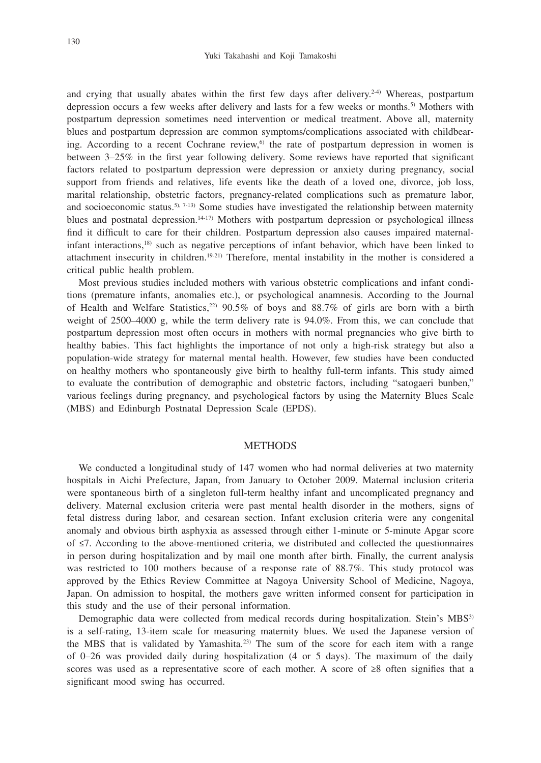and crying that usually abates within the first few days after delivery.<sup>2-4)</sup> Whereas, postpartum depression occurs a few weeks after delivery and lasts for a few weeks or months.<sup>5)</sup> Mothers with postpartum depression sometimes need intervention or medical treatment. Above all, maternity blues and postpartum depression are common symptoms/complications associated with childbearing. According to a recent Cochrane review, $6$  the rate of postpartum depression in women is between 3–25% in the first year following delivery. Some reviews have reported that significant factors related to postpartum depression were depression or anxiety during pregnancy, social support from friends and relatives, life events like the death of a loved one, divorce, job loss, marital relationship, obstetric factors, pregnancy-related complications such as premature labor, and socioeconomic status.<sup>5), 7-13)</sup> Some studies have investigated the relationship between maternity blues and postnatal depression.14-17) Mothers with postpartum depression or psychological illness find it difficult to care for their children. Postpartum depression also causes impaired maternalinfant interactions,18) such as negative perceptions of infant behavior, which have been linked to attachment insecurity in children.19-21) Therefore, mental instability in the mother is considered a critical public health problem.

Most previous studies included mothers with various obstetric complications and infant conditions (premature infants, anomalies etc.), or psychological anamnesis. According to the Journal of Health and Welfare Statistics,<sup>22)</sup> 90.5% of boys and 88.7% of girls are born with a birth weight of 2500–4000 g, while the term delivery rate is 94.0%. From this, we can conclude that postpartum depression most often occurs in mothers with normal pregnancies who give birth to healthy babies. This fact highlights the importance of not only a high-risk strategy but also a population-wide strategy for maternal mental health. However, few studies have been conducted on healthy mothers who spontaneously give birth to healthy full-term infants. This study aimed to evaluate the contribution of demographic and obstetric factors, including "satogaeri bunben," various feelings during pregnancy, and psychological factors by using the Maternity Blues Scale (MBS) and Edinburgh Postnatal Depression Scale (EPDS).

#### **METHODS**

We conducted a longitudinal study of 147 women who had normal deliveries at two maternity hospitals in Aichi Prefecture, Japan, from January to October 2009. Maternal inclusion criteria were spontaneous birth of a singleton full-term healthy infant and uncomplicated pregnancy and delivery. Maternal exclusion criteria were past mental health disorder in the mothers, signs of fetal distress during labor, and cesarean section. Infant exclusion criteria were any congenital anomaly and obvious birth asphyxia as assessed through either 1-minute or 5-minute Apgar score of ≤7. According to the above-mentioned criteria, we distributed and collected the questionnaires in person during hospitalization and by mail one month after birth. Finally, the current analysis was restricted to 100 mothers because of a response rate of 88.7%. This study protocol was approved by the Ethics Review Committee at Nagoya University School of Medicine, Nagoya, Japan. On admission to hospital, the mothers gave written informed consent for participation in this study and the use of their personal information.

Demographic data were collected from medical records during hospitalization. Stein's MBS<sup>3)</sup> is a self-rating, 13-item scale for measuring maternity blues. We used the Japanese version of the MBS that is validated by Yamashita.<sup>23)</sup> The sum of the score for each item with a range of 0–26 was provided daily during hospitalization (4 or 5 days). The maximum of the daily scores was used as a representative score of each mother. A score of ≥8 often signifies that a significant mood swing has occurred.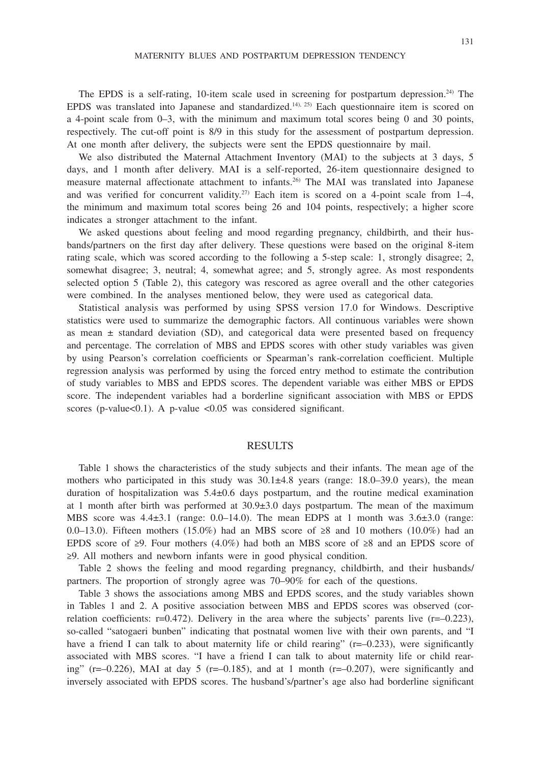The EPDS is a self-rating, 10-item scale used in screening for postpartum depression.<sup>24)</sup> The EPDS was translated into Japanese and standardized.14), 25) Each questionnaire item is scored on a 4-point scale from 0–3, with the minimum and maximum total scores being 0 and 30 points, respectively. The cut-off point is 8/9 in this study for the assessment of postpartum depression. At one month after delivery, the subjects were sent the EPDS questionnaire by mail.

We also distributed the Maternal Attachment Inventory (MAI) to the subjects at 3 days, 5 days, and 1 month after delivery. MAI is a self-reported, 26-item questionnaire designed to measure maternal affectionate attachment to infants.26) The MAI was translated into Japanese and was verified for concurrent validity.<sup>27)</sup> Each item is scored on a 4-point scale from  $1-4$ , the minimum and maximum total scores being 26 and 104 points, respectively; a higher score indicates a stronger attachment to the infant.

We asked questions about feeling and mood regarding pregnancy, childbirth, and their husbands/partners on the first day after delivery. These questions were based on the original 8-item rating scale, which was scored according to the following a 5-step scale: 1, strongly disagree; 2, somewhat disagree; 3, neutral; 4, somewhat agree; and 5, strongly agree. As most respondents selected option 5 (Table 2), this category was rescored as agree overall and the other categories were combined. In the analyses mentioned below, they were used as categorical data.

Statistical analysis was performed by using SPSS version 17.0 for Windows. Descriptive statistics were used to summarize the demographic factors. All continuous variables were shown as mean  $\pm$  standard deviation (SD), and categorical data were presented based on frequency and percentage. The correlation of MBS and EPDS scores with other study variables was given by using Pearson's correlation coefficients or Spearman's rank-correlation coefficient. Multiple regression analysis was performed by using the forced entry method to estimate the contribution of study variables to MBS and EPDS scores. The dependent variable was either MBS or EPDS score. The independent variables had a borderline significant association with MBS or EPDS scores (p-value< $0.1$ ). A p-value < $0.05$  was considered significant.

#### RESULTS

Table 1 shows the characteristics of the study subjects and their infants. The mean age of the mothers who participated in this study was  $30.1\pm4.8$  years (range: 18.0–39.0 years), the mean duration of hospitalization was  $5.4\pm0.6$  days postpartum, and the routine medical examination at 1 month after birth was performed at  $30.9\pm3.0$  days postpartum. The mean of the maximum MBS score was  $4.4\pm3.1$  (range: 0.0–14.0). The mean EDPS at 1 month was  $3.6\pm3.0$  (range: 0.0–13.0). Fifteen mothers (15.0%) had an MBS score of  $\geq 8$  and 10 mothers (10.0%) had an EPDS score of ≥9. Four mothers (4.0%) had both an MBS score of ≥8 and an EPDS score of ≥9. All mothers and newborn infants were in good physical condition.

Table 2 shows the feeling and mood regarding pregnancy, childbirth, and their husbands/ partners. The proportion of strongly agree was 70–90% for each of the questions.

Table 3 shows the associations among MBS and EPDS scores, and the study variables shown in Tables 1 and 2. A positive association between MBS and EPDS scores was observed (correlation coefficients:  $r=0.472$ ). Delivery in the area where the subjects' parents live  $(r=-0.223)$ , so-called "satogaeri bunben" indicating that postnatal women live with their own parents, and "I have a friend I can talk to about maternity life or child rearing" (r=–0.233), were significantly associated with MBS scores. "I have a friend I can talk to about maternity life or child rearing" ( $r=-0.226$ ), MAI at day 5 ( $r=-0.185$ ), and at 1 month ( $r=-0.207$ ), were significantly and inversely associated with EPDS scores. The husband's/partner's age also had borderline significant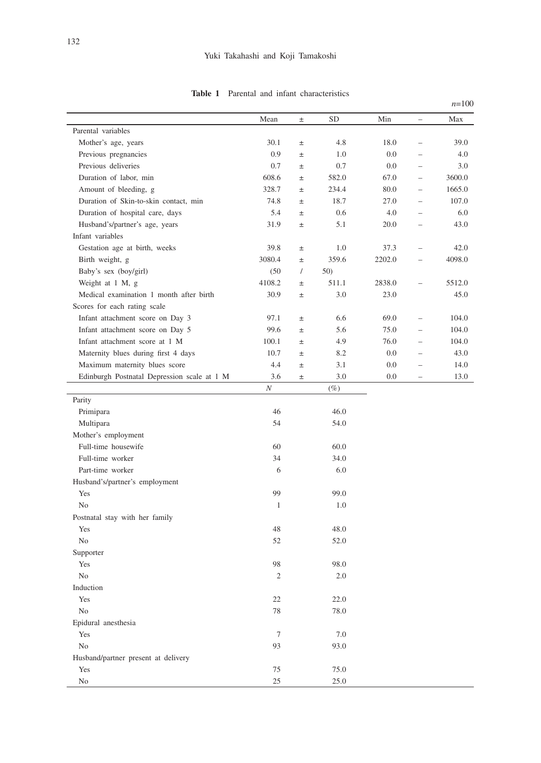|                                             | Mean           | $\pm$    | <b>SD</b> | Min     | $\overline{\phantom{0}}$ | Max    |
|---------------------------------------------|----------------|----------|-----------|---------|--------------------------|--------|
| Parental variables                          |                |          |           |         |                          |        |
| Mother's age, years                         | 30.1           | $\pm$    | 4.8       | 18.0    | $\equiv$                 | 39.0   |
| Previous pregnancies                        | 0.9            | $\pm$    | 1.0       | 0.0     | $=$                      | 4.0    |
| Previous deliveries                         | 0.7            | $\pm$    | 0.7       | $0.0\,$ | $\equiv$                 | 3.0    |
| Duration of labor, min                      | 608.6          | $\pm$    | 582.0     | 67.0    | $\equiv$                 | 3600.0 |
| Amount of bleeding, g                       | 328.7          | $\pm$    | 234.4     | 80.0    | $\equiv$                 | 1665.0 |
| Duration of Skin-to-skin contact, min       | 74.8           | $\pm$    | 18.7      | 27.0    | $\equiv$                 | 107.0  |
| Duration of hospital care, days             | 5.4            | $\pm$    | 0.6       | 4.0     | $\equiv$                 | 6.0    |
| Husband's/partner's age, years              | 31.9           | $\pm$    | 5.1       | 20.0    | $\equiv$                 | 43.0   |
| Infant variables                            |                |          |           |         |                          |        |
| Gestation age at birth, weeks               | 39.8           | $\pm$    | 1.0       | 37.3    | $\equiv$                 | 42.0   |
| Birth weight, g                             | 3080.4         | $\pm$    | 359.6     | 2202.0  | $\qquad \qquad -$        | 4098.0 |
| Baby's sex (boy/girl)                       | (50)           | $\prime$ | 50)       |         |                          |        |
| Weight at 1 M, g                            | 4108.2         | $\pm$    | 511.1     | 2838.0  | $\equiv$                 | 5512.0 |
| Medical examination 1 month after birth     | 30.9           | $\pm$    | 3.0       | 23.0    |                          | 45.0   |
| Scores for each rating scale                |                |          |           |         |                          |        |
| Infant attachment score on Day 3            | 97.1           | $\pm$    | 6.6       | 69.0    | $\overline{a}$           | 104.0  |
| Infant attachment score on Day 5            | 99.6           | $\pm$    | 5.6       | 75.0    | $\equiv$                 | 104.0  |
| Infant attachment score at 1 M              | 100.1          | $\pm$    | 4.9       | 76.0    | $\equiv$                 | 104.0  |
| Maternity blues during first 4 days         | 10.7           | $\pm$    | 8.2       | 0.0     | ÷                        | 43.0   |
| Maximum maternity blues score               | 4.4            | $\pm$    | 3.1       | 0.0     | $\equiv$                 | 14.0   |
| Edinburgh Postnatal Depression scale at 1 M | 3.6            | $\pm$    | 3.0       | 0.0     | $\equiv$                 | 13.0   |
|                                             | $\cal N$       |          | $(\%)$    |         |                          |        |
| Parity                                      |                |          |           |         |                          |        |
| Primipara                                   | 46             |          | 46.0      |         |                          |        |
| Multipara                                   | 54             |          | 54.0      |         |                          |        |
| Mother's employment                         |                |          |           |         |                          |        |
| Full-time housewife                         | 60             |          | 60.0      |         |                          |        |
| Full-time worker                            | 34             |          | 34.0      |         |                          |        |
| Part-time worker                            | 6              |          | 6.0       |         |                          |        |
| Husband's/partner's employment              |                |          |           |         |                          |        |
| Yes                                         | 99             |          | 99.0      |         |                          |        |
| No                                          | $\mathbf{1}$   |          | 1.0       |         |                          |        |
| Postnatal stay with her family              |                |          |           |         |                          |        |
| Yes                                         | 48             |          | 48.0      |         |                          |        |
| No                                          | 52             |          | 52.0      |         |                          |        |
| Supporter                                   |                |          |           |         |                          |        |
| Yes                                         | 98             |          | 98.0      |         |                          |        |
| No                                          | $\overline{c}$ |          | 2.0       |         |                          |        |
| Induction                                   |                |          |           |         |                          |        |
| Yes                                         | 22             |          | 22.0      |         |                          |        |
| No                                          | 78             |          | 78.0      |         |                          |        |
| Epidural anesthesia                         |                |          |           |         |                          |        |
| Yes                                         | $\tau$         |          | $7.0\,$   |         |                          |        |
| No                                          | 93             |          | 93.0      |         |                          |        |
| Husband/partner present at delivery         |                |          |           |         |                          |        |
| Yes                                         | 75             |          | 75.0      |         |                          |        |
| No                                          | 25             |          | 25.0      |         |                          |        |

## **Table 1** Parental and infant characteristics

*n*=100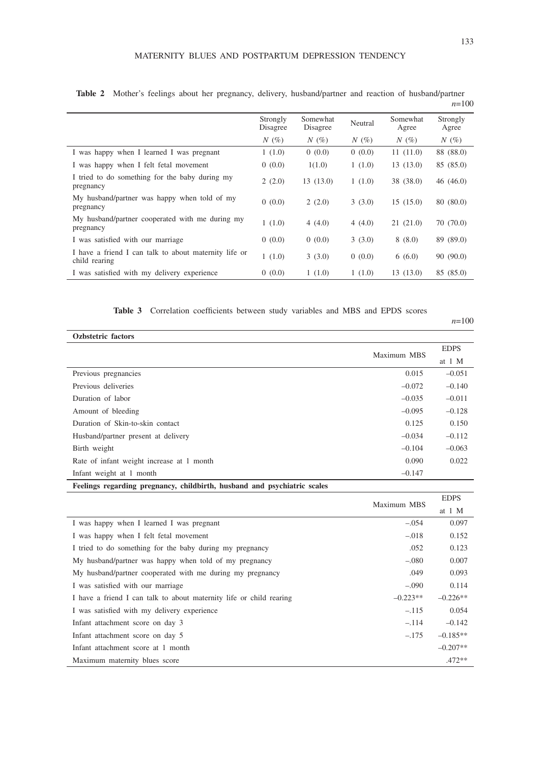|                                                                        | Strongly<br>Disagree | Somewhat<br>Disagree | Neutral | Somewhat<br>Agree | Strongly<br>Agree |
|------------------------------------------------------------------------|----------------------|----------------------|---------|-------------------|-------------------|
|                                                                        | $N(\%)$              | $N(\%)$              | $N(\%)$ | $N(\%)$           | $N(\%)$           |
| I was happy when I learned I was pregnant                              | 1(1.0)               | 0(0.0)               | 0(0.0)  | 11(11.0)          | 88 (88.0)         |
| I was happy when I felt fetal movement                                 | 0(0.0)               | 1(1.0)               | 1(1.0)  | 13(13.0)          | 85 (85.0)         |
| I tried to do something for the baby during my<br>pregnancy            | 2(2.0)               | 13(13.0)             | 1(1.0)  | 38 (38.0)         | 46 (46.0)         |
| My husband/partner was happy when told of my<br>pregnancy              | 0(0.0)               | 2(2.0)               | 3(3.0)  | 15(15.0)          | 80 (80.0)         |
| My husband/partner cooperated with me during my<br>pregnancy           | 1(1.0)               | 4(4.0)               | 4(4.0)  | 21(21.0)          | 70(70.0)          |
| I was satisfied with our marriage                                      | 0(0.0)               | 0(0.0)               | 3(3.0)  | 8(8.0)            | 89 (89.0)         |
| I have a friend I can talk to about maternity life or<br>child rearing | 1(1.0)               | 3(3.0)               | 0(0.0)  | 6(6.0)            | 90(90.0)          |
| I was satisfied with my delivery experience                            | 0(0.0)               | 1(1.0)               | 1(1.0)  | 13(13.0)          | 85 (85.0)         |

**Table 2** Mother's feelings about her pregnancy, delivery, husband/partner and reaction of husband/partner *n*=100

**Table 3** Correlation coefficients between study variables and MBS and EPDS scores

*n*=100

| <b>Ozbstetric</b> factors                 |             |             |
|-------------------------------------------|-------------|-------------|
|                                           | Maximum MBS | <b>EDPS</b> |
|                                           |             | at $1 M$    |
| Previous pregnancies                      | 0.015       | $-0.051$    |
| Previous deliveries                       | $-0.072$    | $-0.140$    |
| Duration of labor                         | $-0.035$    | $-0.011$    |
| Amount of bleeding                        | $-0.095$    | $-0.128$    |
| Duration of Skin-to-skin contact          | 0.125       | 0.150       |
| Husband/partner present at delivery       | $-0.034$    | $-0.112$    |
| Birth weight                              | $-0.104$    | $-0.063$    |
| Rate of infant weight increase at 1 month | 0.090       | 0.022       |
| Infant weight at 1 month                  | $-0.147$    |             |
|                                           |             |             |

**Feelings regarding pregnancy, childbirth, husband and psychiatric scales**

|                                                                     | Maximum MBS | <b>EDPS</b> |
|---------------------------------------------------------------------|-------------|-------------|
|                                                                     |             | at 1 M      |
| I was happy when I learned I was pregnant                           | $-.054$     | 0.097       |
| I was happy when I felt fetal movement                              | $-.018$     | 0.152       |
| I tried to do something for the baby during my pregnancy            | .052        | 0.123       |
| My husband/partner was happy when told of my pregnancy              | $-.080$     | 0.007       |
| My husband/partner cooperated with me during my pregnancy           | .049        | 0.093       |
| I was satisfied with our marriage                                   | $-.090$     | 0.114       |
| I have a friend I can talk to about maternity life or child rearing | $-0.223**$  | $-0.226**$  |
| I was satisfied with my delivery experience                         | $-.115$     | 0.054       |
| Infant attachment score on day 3                                    | $-.114$     | $-0.142$    |
| Infant attachment score on day 5                                    | $-.175$     | $-0.185**$  |
| Infant attachment score at 1 month                                  |             | $-0.207**$  |
| Maximum maternity blues score                                       |             | $.472**$    |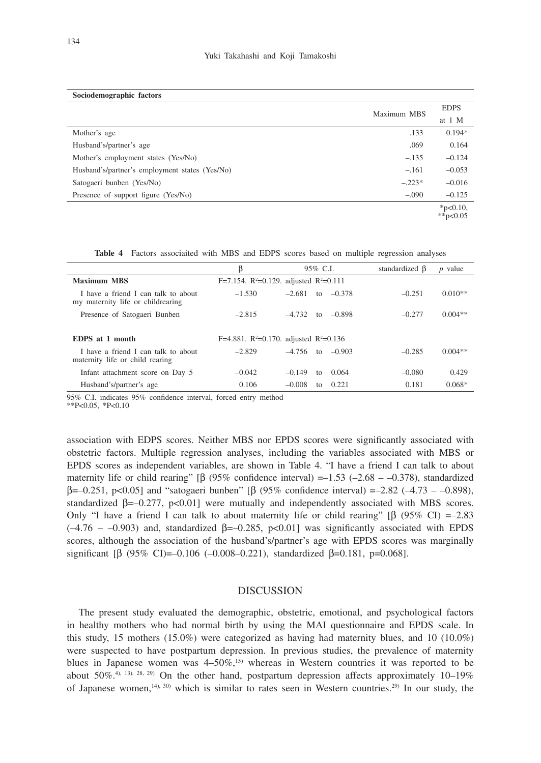| Sociodemographic factors                       |             |                         |
|------------------------------------------------|-------------|-------------------------|
|                                                | Maximum MBS | <b>EDPS</b>             |
|                                                |             | at 1 M                  |
| Mother's age                                   | .133        | $0.194*$                |
| Husband's/partner's age                        | .069        | 0.164                   |
| Mother's employment states (Yes/No)            | $-.135$     | $-0.124$                |
| Husband's/partner's employment states (Yes/No) | $-.161$     | $-0.053$                |
| Satogaeri bunben (Yes/No)                      | $-.223*$    | $-0.016$                |
| Presence of support figure (Yes/No)            | $-.090$     | $-0.125$                |
|                                                |             | $*$ p<0.10,<br>**p<0.05 |

**Table 4** Factors associaited with MBS and EDPS scores based on multiple regression analyses

|                                                                          | B        | $95\%$ C.I.                                                    | standardized $\beta$ | $p$ value |
|--------------------------------------------------------------------------|----------|----------------------------------------------------------------|----------------------|-----------|
| <b>Maximum MBS</b>                                                       |          | F=7.154. $R^2$ =0.129. adjusted $R^2$ =0.111                   |                      |           |
| I have a friend I can talk to about<br>my maternity life or childrearing | $-1.530$ | $-2.681$<br>to $-0.378$                                        | $-0.251$             | $0.010**$ |
| Presence of Satogaeri Bunben                                             | $-2.815$ | $-4.732$<br>to $-0.898$                                        | $-0.277$             | $0.004**$ |
| <b>EDPS</b> at 1 month                                                   |          | F=4.881. R <sup>2</sup> =0.170. adjusted R <sup>2</sup> =0.136 |                      |           |
| I have a friend I can talk to about<br>maternity life or child rearing   | $-2.829$ | $-4.756$ to $-0.903$                                           | $-0.285$             | $0.004**$ |
| Infant attachment score on Day 5                                         | $-0.042$ | $-0.149$<br>0.064<br>to                                        | $-0.080$             | 0.429     |
| Husband's/partner's age                                                  | 0.106    | $-0.008$<br>0.221<br>to                                        | 0.181                | $0.068*$  |

95% C.I. indicates 95% confidence interval, forced entry method

 $*P<0.05$ ,  $*P<0.10$ 

association with EDPS scores. Neither MBS nor EPDS scores were significantly associated with obstetric factors. Multiple regression analyses, including the variables associated with MBS or EPDS scores as independent variables, are shown in Table 4. "I have a friend I can talk to about maternity life or child rearing" [β (95% confidence interval) =–1.53 (–2.68 – –0.378), standardized  $β = -0.251$ , p<0.05] and "satogaeri bunben" [β (95% confidence interval) = -2.82 (-4.73 - -0.898), standardized  $\beta = -0.277$ , p<0.01] were mutually and independently associated with MBS scores. Only "I have a friend I can talk to about maternity life or child rearing"  $\beta$  (95% CI) =–2.83  $(-4.76 - 0.903)$  and, standardized  $\beta = -0.285$ , p<0.01] was significantly associated with EPDS scores, although the association of the husband's/partner's age with EPDS scores was marginally significant [β (95% CI)=-0.106 (-0.008-0.221), standardized  $\beta$ =0.181, p=0.068].

### **DISCUSSION**

The present study evaluated the demographic, obstetric, emotional, and psychological factors in healthy mothers who had normal birth by using the MAI questionnaire and EPDS scale. In this study, 15 mothers (15.0%) were categorized as having had maternity blues, and 10 (10.0%) were suspected to have postpartum depression. In previous studies, the prevalence of maternity blues in Japanese women was  $4-50\%,$ <sup>15)</sup> whereas in Western countries it was reported to be about 50%.<sup>4), 13), 28, 29)</sup> On the other hand, postpartum depression affects approximately 10–19% of Japanese women,<sup>14), 30)</sup> which is similar to rates seen in Western countries.<sup>29)</sup> In our study, the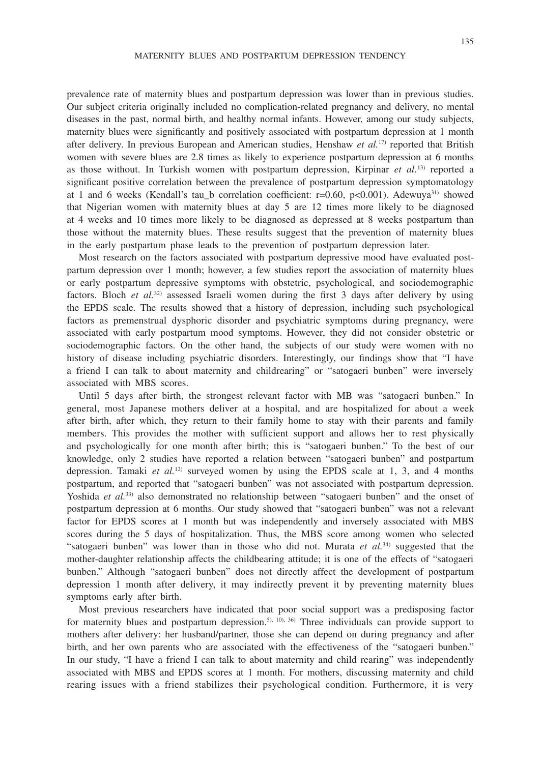prevalence rate of maternity blues and postpartum depression was lower than in previous studies. Our subject criteria originally included no complication-related pregnancy and delivery, no mental diseases in the past, normal birth, and healthy normal infants. However, among our study subjects, maternity blues were significantly and positively associated with postpartum depression at 1 month after delivery. In previous European and American studies, Henshaw *et al.*17) reported that British women with severe blues are 2.8 times as likely to experience postpartum depression at 6 months as those without. In Turkish women with postpartum depression, Kirpinar *et al.*13) reported a significant positive correlation between the prevalence of postpartum depression symptomatology at 1 and 6 weeks (Kendall's tau\_b correlation coefficient:  $r=0.60$ ,  $p<0.001$ ). Adewuya<sup>31)</sup> showed that Nigerian women with maternity blues at day 5 are 12 times more likely to be diagnosed at 4 weeks and 10 times more likely to be diagnosed as depressed at 8 weeks postpartum than those without the maternity blues. These results suggest that the prevention of maternity blues in the early postpartum phase leads to the prevention of postpartum depression later.

Most research on the factors associated with postpartum depressive mood have evaluated postpartum depression over 1 month; however, a few studies report the association of maternity blues or early postpartum depressive symptoms with obstetric, psychological, and sociodemographic factors. Bloch *et al.*32) assessed Israeli women during the first 3 days after delivery by using the EPDS scale. The results showed that a history of depression, including such psychological factors as premenstrual dysphoric disorder and psychiatric symptoms during pregnancy, were associated with early postpartum mood symptoms. However, they did not consider obstetric or sociodemographic factors. On the other hand, the subjects of our study were women with no history of disease including psychiatric disorders. Interestingly, our findings show that "I have a friend I can talk to about maternity and childrearing" or "satogaeri bunben" were inversely associated with MBS scores.

Until 5 days after birth, the strongest relevant factor with MB was "satogaeri bunben." In general, most Japanese mothers deliver at a hospital, and are hospitalized for about a week after birth, after which, they return to their family home to stay with their parents and family members. This provides the mother with sufficient support and allows her to rest physically and psychologically for one month after birth; this is "satogaeri bunben." To the best of our knowledge, only 2 studies have reported a relation between "satogaeri bunben" and postpartum depression. Tamaki *et al.*<sup>12)</sup> surveyed women by using the EPDS scale at 1, 3, and 4 months postpartum, and reported that "satogaeri bunben" was not associated with postpartum depression. Yoshida *et al.*<sup>33</sup> also demonstrated no relationship between "satogaeri bunben" and the onset of postpartum depression at 6 months. Our study showed that "satogaeri bunben" was not a relevant factor for EPDS scores at 1 month but was independently and inversely associated with MBS scores during the 5 days of hospitalization. Thus, the MBS score among women who selected "satogaeri bunben" was lower than in those who did not. Murata *et al.*34) suggested that the mother-daughter relationship affects the childbearing attitude; it is one of the effects of "satogaeri bunben." Although "satogaeri bunben" does not directly affect the development of postpartum depression 1 month after delivery, it may indirectly prevent it by preventing maternity blues symptoms early after birth.

Most previous researchers have indicated that poor social support was a predisposing factor for maternity blues and postpartum depression.<sup>5), 10), 36)</sup> Three individuals can provide support to mothers after delivery: her husband/partner, those she can depend on during pregnancy and after birth, and her own parents who are associated with the effectiveness of the "satogaeri bunben." In our study, "I have a friend I can talk to about maternity and child rearing" was independently associated with MBS and EPDS scores at 1 month. For mothers, discussing maternity and child rearing issues with a friend stabilizes their psychological condition. Furthermore, it is very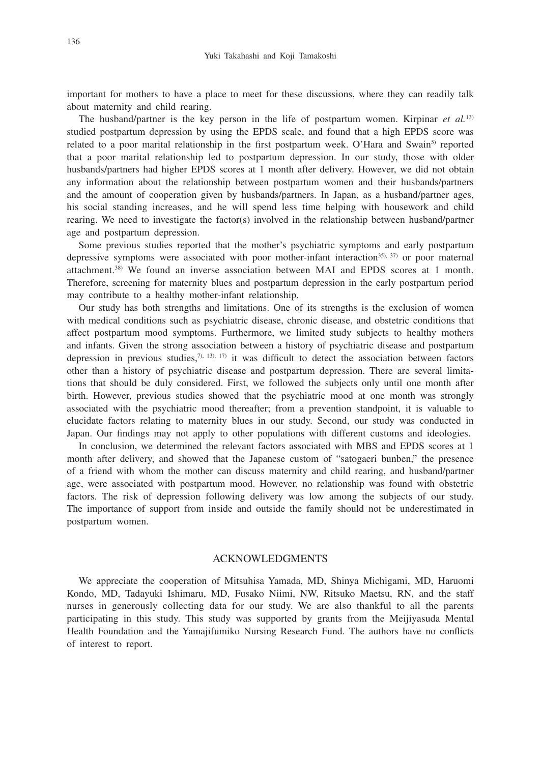important for mothers to have a place to meet for these discussions, where they can readily talk about maternity and child rearing.

The husband/partner is the key person in the life of postpartum women. Kirpinar *et al.*13) studied postpartum depression by using the EPDS scale, and found that a high EPDS score was related to a poor marital relationship in the first postpartum week. O'Hara and Swain<sup>5)</sup> reported that a poor marital relationship led to postpartum depression. In our study, those with older husbands/partners had higher EPDS scores at 1 month after delivery. However, we did not obtain any information about the relationship between postpartum women and their husbands/partners and the amount of cooperation given by husbands/partners. In Japan, as a husband/partner ages, his social standing increases, and he will spend less time helping with housework and child rearing. We need to investigate the factor(s) involved in the relationship between husband/partner age and postpartum depression.

Some previous studies reported that the mother's psychiatric symptoms and early postpartum depressive symptoms were associated with poor mother-infant interaction<sup>35), 37)</sup> or poor maternal attachment.38) We found an inverse association between MAI and EPDS scores at 1 month. Therefore, screening for maternity blues and postpartum depression in the early postpartum period may contribute to a healthy mother-infant relationship.

Our study has both strengths and limitations. One of its strengths is the exclusion of women with medical conditions such as psychiatric disease, chronic disease, and obstetric conditions that affect postpartum mood symptoms. Furthermore, we limited study subjects to healthy mothers and infants. Given the strong association between a history of psychiatric disease and postpartum depression in previous studies, $^{7}$ ,  $^{13}$ ,  $^{17}$ ) it was difficult to detect the association between factors other than a history of psychiatric disease and postpartum depression. There are several limitations that should be duly considered. First, we followed the subjects only until one month after birth. However, previous studies showed that the psychiatric mood at one month was strongly associated with the psychiatric mood thereafter; from a prevention standpoint, it is valuable to elucidate factors relating to maternity blues in our study. Second, our study was conducted in Japan. Our findings may not apply to other populations with different customs and ideologies.

In conclusion, we determined the relevant factors associated with MBS and EPDS scores at 1 month after delivery, and showed that the Japanese custom of "satogaeri bunben," the presence of a friend with whom the mother can discuss maternity and child rearing, and husband/partner age, were associated with postpartum mood. However, no relationship was found with obstetric factors. The risk of depression following delivery was low among the subjects of our study. The importance of support from inside and outside the family should not be underestimated in postpartum women.

#### ACKNOWLEDGMENTS

We appreciate the cooperation of Mitsuhisa Yamada, MD, Shinya Michigami, MD, Haruomi Kondo, MD, Tadayuki Ishimaru, MD, Fusako Niimi, NW, Ritsuko Maetsu, RN, and the staff nurses in generously collecting data for our study. We are also thankful to all the parents participating in this study. This study was supported by grants from the Meijiyasuda Mental Health Foundation and the Yamajifumiko Nursing Research Fund. The authors have no conflicts of interest to report.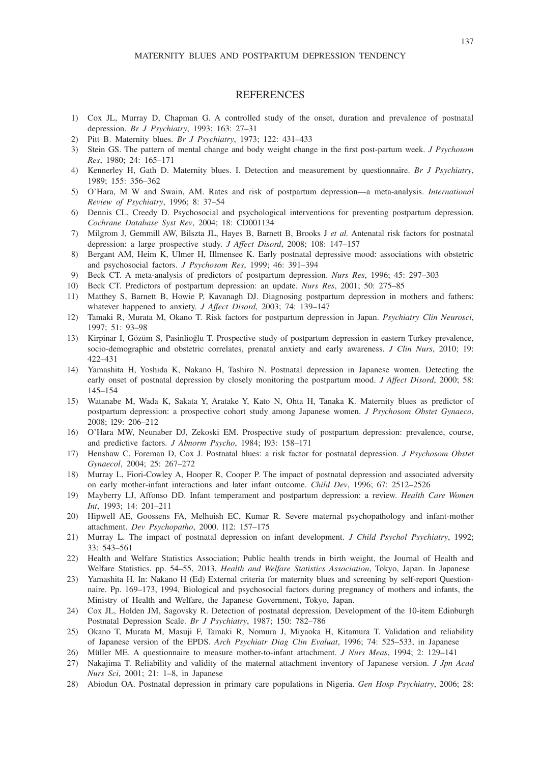#### **REFERENCES**

- 1) Cox JL, Murray D, Chapman G. A controlled study of the onset, duration and prevalence of postnatal depression. *Br J Psychiatry*, 1993; 163: 27–31
- 2) Pitt B. Maternity blues. *Br J Psychiatry*, 1973; 122: 431–433
- 3) Stein GS. The pattern of mental change and body weight change in the first post-partum week. *J Psychosom Res*, 1980; 24: 165–171
- 4) Kennerley H, Gath D. Maternity blues. I. Detection and measurement by questionnaire. *Br J Psychiatry*, 1989; 155: 356–362
- 5) O'Hara, M W and Swain, AM. Rates and risk of postpartum depression—a meta-analysis. *International Review of Psychiatry*, 1996; 8: 37–54
- 6) Dennis CL, Creedy D. Psychosocial and psychological interventions for preventing postpartum depression. *Cochrane Database Syst Rev*, 2004; 18: CD001134
- 7) Milgrom J, Gemmill AW, Bilszta JL, Hayes B, Barnett B, Brooks J *et al.* Antenatal risk factors for postnatal depression: a large prospective study. *J Affect Disord*, 2008; 108: 147–157
- 8) Bergant AM, Heim K, Ulmer H, Illmensee K. Early postnatal depressive mood: associations with obstetric and psychosocial factors. *J Psychosom Res*, 1999; 46: 391–394
- 9) Beck CT. A meta-analysis of predictors of postpartum depression. *Nurs Res*, 1996; 45: 297–303
- 10) Beck CT. Predictors of postpartum depression: an update. *Nurs Res*, 2001; 50: 275–85
- 11) Matthey S, Barnett B, Howie P, Kavanagh DJ. Diagnosing postpartum depression in mothers and fathers: whatever happened to anxiety. *J Affect Disord*, 2003; 74: 139–147
- 12) Tamaki R, Murata M, Okano T. Risk factors for postpartum depression in Japan. *Psychiatry Clin Neurosci*, 1997; 51: 93–98
- 13) Kirpinar I, Gözüm S, Pasinlioğlu T. Prospective study of postpartum depression in eastern Turkey prevalence, socio-demographic and obstetric correlates, prenatal anxiety and early awareness. *J Clin Nurs*, 2010; 19: 422–431
- 14) Yamashita H, Yoshida K, Nakano H, Tashiro N. Postnatal depression in Japanese women. Detecting the early onset of postnatal depression by closely monitoring the postpartum mood. *J Affect Disord*, 2000; 58: 145–154
- 15) Watanabe M, Wada K, Sakata Y, Aratake Y, Kato N, Ohta H, Tanaka K. Maternity blues as predictor of postpartum depression: a prospective cohort study among Japanese women. *J Psychosom Obstet Gynaeco*, 2008; l29: 206–212
- 16) O'Hara MW, Neunaber DJ, Zekoski EM. Prospective study of postpartum depression: prevalence, course, and predictive factors. *J Abnorm Psycho*, 1984; l93: 158–171
- 17) Henshaw C, Foreman D, Cox J. Postnatal blues: a risk factor for postnatal depression. *J Psychosom Obstet Gynaecol*, 2004; 25: 267–272
- 18) Murray L, Fiori-Cowley A, Hooper R, Cooper P. The impact of postnatal depression and associated adversity on early mother-infant interactions and later infant outcome. *Child Dev*, 1996; 67: 2512–2526
- 19) Mayberry LJ, Affonso DD. Infant temperament and postpartum depression: a review. *Health Care Women Int*, 1993; 14: 201–211
- 20) Hipwell AE, Goossens FA, Melhuish EC, Kumar R. Severe maternal psychopathology and infant-mother attachment. *Dev Psychopatho*, 2000. l12: 157–175
- 21) Murray L. The impact of postnatal depression on infant development. *J Child Psychol Psychiatry*, 1992; 33: 543–561
- 22) Health and Welfare Statistics Association; Public health trends in birth weight, the Journal of Health and Welfare Statistics. pp. 54–55, 2013, *Health and Welfare Statistics Association*, Tokyo, Japan. In Japanese
- 23) Yamashita H. In: Nakano H (Ed) External criteria for maternity blues and screening by self-report Questionnaire. Pp. 169–173, 1994, Biological and psychosocial factors during pregnancy of mothers and infants, the Ministry of Health and Welfare, the Japanese Government, Tokyo, Japan.
- 24) Cox JL, Holden JM, Sagovsky R. Detection of postnatal depression. Development of the 10-item Edinburgh Postnatal Depression Scale. *Br J Psychiatry*, 1987; 150: 782–786
- 25) Okano T, Murata M, Masuji F, Tamaki R, Nomura J, Miyaoka H, Kitamura T. Validation and reliability of Japanese version of the EPDS. *Arch Psychiatr Diag Clin Evaluat*, 1996; 74: 525–533, in Japanese
- 26) Müller ME. A questionnaire to measure mother-to-infant attachment. *J Nurs Meas*, 1994; 2: 129–141
- 27) Nakajima T. Reliability and validity of the maternal attachment inventory of Japanese version. *J Jpn Acad Nurs Sci*, 2001; 21: 1–8, in Japanese
- 28) Abiodun OA. Postnatal depression in primary care populations in Nigeria. *Gen Hosp Psychiatry*, 2006; 28: